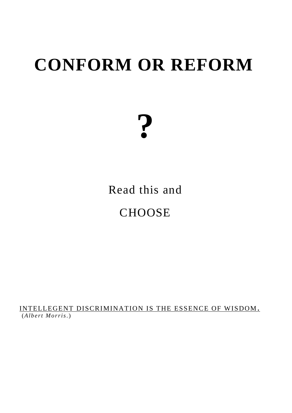## **CONFORM OR REFORM**

# **?**

### Read this and **CHOOSE**

INTELLEGENT DISCRIMINATION IS THE ESSENCE OF WISDOM **.** (*A lb e rt Mo rris*. )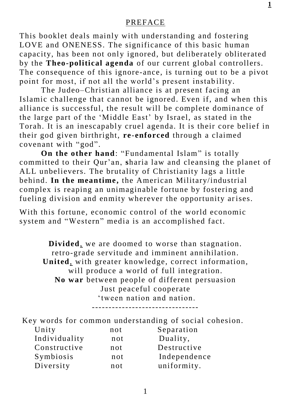#### PREFACE

This booklet deals mainly with understanding and fostering LOVE and ONENESS. The significance of this basic human capacity, has been not only ignored, but deliberately obliterated by the **Theo-political agenda** of our current global controllers. The consequence of this ignore-ance, is turning out to be a pivot point for most, if not all the world's present instability.

 The Judeo–Christian alliance is at present facing an Islamic challenge that cannot be ignored. Even if, and when this alliance is successful, the result will be complete dominance of the large part of the 'Middle East' by Israel, as stated in the Torah. It is an inescapably cruel agenda. It is their core belief in their god given birthright, **re**-**enforced** through a claimed covenant with "god".

 **On the other hand**: "Fundamental Islam" is totally committed to their Qur'an, **s**haria law and cleansing the planet of ALL unbelievers. The brutality of Christianity lags a little behind. **In the meantime,** the American Military/industrial complex is reaping an unimaginable fortune by fostering and fueling division and enmity wherever the opportunity arises.

With this fortune, economic control of the world economic system and "Western" media is an accomplished fact.

**Divided**, we are doomed to worse than stagnation. retro-grade servitude and imminent annihilation. **United**, with greater knowledge, correct information, will produce a world of full integration. **No war** between people of different persuasion Just peaceful cooperate 'tween nation and nation.

--------------------------------

|               |     | Key words for common understanding of social cohesion. |
|---------------|-----|--------------------------------------------------------|
| Unity         | not | Separation                                             |
| Individuality | not | Duality,                                               |
| Constructive  | not | Destructive                                            |
| Symbiosis     | not | Independence                                           |
| Diversity     | not | uniformity.                                            |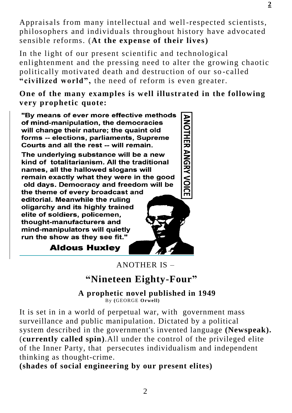Appraisals from many intellectual and well-respected scientists, philosophers and individuals throughout history have advocated sensible reforms. (**At the expense of their lives)**

In the light of our present scientific and technological enlightenment and the pressing need to alter the growing chaotic politically motivated death and destruction of our so -called **"civilized world",** the need of reform is even greater.

**One of the many examples is well illustrated in the following very prophetic quote:**

"By means of ever more effective methods of mind-manipulation, the democracies will change their nature; the quaint old forms -- elections, parliaments, Supreme Courts and all the rest -- will remain.

The underlying substance will be a new kind of totalitarianism. All the traditional names, all the hallowed slogans will remain exactly what they were in the good old days. Democracy and freedom will be

the theme of every broadcast and editorial. Meanwhile the ruling oligarchy and its highly trained elite of soldiers, policemen, thought-manufacturers and mind-manipulators will quietly run the show as they see fit."

**ANOTHER ANGRY VOICE** 

**Aldous Huxley** 

ANOTHER IS –

#### **"Nineteen Eighty-Four"**

 **A prophetic novel published in 1949** By **(**GEORGE **Orwell)** 

It is set in in a world of perpetual war, with [g](https://en.wikipedia.org/wiki/Mass_surveillance)overnment mass surveillance and public manipulation. Dictated by a political system described in the government's invented language **[\(Newspeak\)](https://en.wikipedia.org/wiki/Newspeak).** (**currently called spin)**.All under the control of the privileged elite of the [Inner Party,](https://en.wikipedia.org/wiki/Inner_Party) that persecutes [individualism](https://en.wikipedia.org/wiki/Individualism) and independent thinking as thought-crime.

**(shades of social engineering by our present elites)**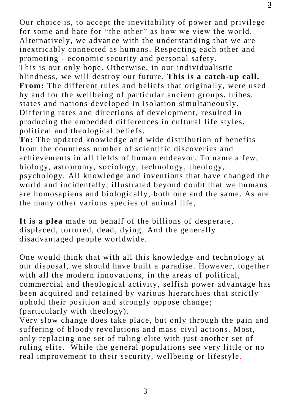Our choice is, to accept the inevitability of power and privilege for some and hate for "the other" as how we view the world. Alternatively, we advance with the understanding that we are inextricably connected as humans. Respecting each other and promoting - economic security and personal safety. This is our only hope. Otherwise, in our individualistic blindness, we will destroy our future. **This is a catch-up call. From:** The different rules and beliefs that originally, were used by and for the wellbeing of particular ancient groups, tribes, states and nations developed in isolation simultaneously. Differing rates and directions of development, resulted in producing the embedded differences in cultural life styles, political and theological beliefs.

**To:** The updated knowledge and wide distribution of benefits from the countless number of scientific discoveries and achievements in all fields of human endeavor. To name a few, biology, astronomy, sociology, technology, theology, psychology. All knowledge and inventions that have changed the world and incidentally, illustrated beyond doubt that we humans are homosapiens and biologically, both one and the same. As are the many other various species of animal life,

**It is a plea** made on behalf of the billions of desperate, displaced, tortured, dead, dying. And the generally disadvantaged people worldwide.

One would think that with all this knowledge and technology at our disposal, we should have built a paradise. However, together with all the modern innovations, in the areas of political, commercial and theological activity, selfish power advantage has been acquired and retained by various hierarchies that strictly uphold their position and strongly oppose change; (particularly with theology).

Very slow change does take place, but only through the pain and suffering of bloody revolutions and mass civil actions. Most, only replacing one set of ruling elite with just another set of ruling elite. While the general populations see very little or no real improvement to their security, wellbeing or lifestyle.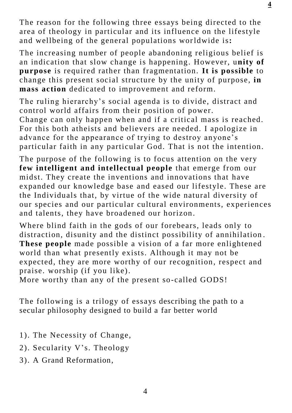The reason for the following three essays being directed to the area of theology in particular and its influence on the lifestyle and wellbeing of the general populations worldwide is**:**

The increasing number of people abandoning religious belief is an indication that slow change is happening. However, u**nity of purpose** is required rather than fragmentation. **It is possible** to change this present social structure by the unity of purpose, **in mass action** dedicated to improvement and reform.

The ruling hierarchy's social agenda is to divide, distract and control world affairs from their position of power.

Change can only happen when and if a critical mass is reached. For this both atheists and believers are needed. I apologize in advance for the appearance of trying to destroy anyone's particular faith in any particular God. That is not the intention.

The purpose of the following is to focus attention on the very **few intelligent and intellectual people** that emerge from our midst. They create the inventions and innovations that have expanded our knowledge base and eased our lifestyle. These are the Individuals that, by virtue of the wide natural diversity of our species and our particular cultural environments, experiences and talents, they have broadened our horizon .

Where blind faith in the gods of our forebears, leads only to distraction, disunity and the distinct possibility of annihilation . **These people** made possible a vision of a far more enlightened world than what presently exists. Although it may not be expected, they are more worthy of our recognition, respect and praise. worship (if you like).

More worthy than any of the present so-called GODS!

The following is a trilogy of essays describing the path to a secular philosophy designed to build a far better world

- 1). The Necessity of Change,
- 2). Secularity V's. Theology
- 3). A Grand Reformation,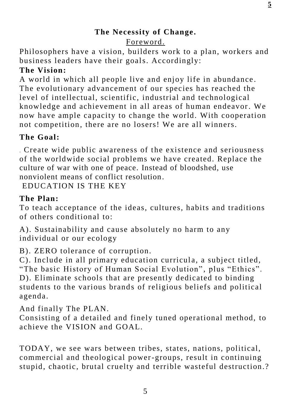#### **The Necessity of Change.** Foreword.

Philosophers have a vision, builders work to a plan, workers and business leaders have their goals. Accordingly:

#### **The Vision:**

A world in which all people live and enjoy life in abundance . The evolutionary advancement of our species has reached the level of intellectual, scientific, industrial and technological knowledge and achievement in all areas of human endeavor. We now have ample capacity to change the world. With cooperation not competition, there are no losers! We are all winners.

#### **The Goal:**

. Create wide public awareness of the existence and seriousness of the worldwide social problems we have created. Replace the culture of war with one of peace. Instead of bloodshed, use nonviolent means of conflict resolution.

EDUCATION IS THE KEY

#### **The Plan:**

To teach acceptance of the ideas, cultures, habits and traditions of others conditional to:

A). Sustainability and cause absolutely no harm to any individual or our ecology

B). ZERO tolerance of corruption.

C). Include in all primary education curricula, a subject titled, "The basic History of Human Social Evolution", plus "Ethics". D). Eliminate schools that are presently dedicated to binding students to the various brands of religious beliefs and political agenda.

And finally The PLAN.

Consisting of a detailed and finely tuned operational method, to achieve the VISION and GOAL.

TODAY, we see wars between tribes, states, nations, political, commercial and theological power-groups, result in continuing stupid, chaotic, brutal cruelty and terrible wasteful destruction.?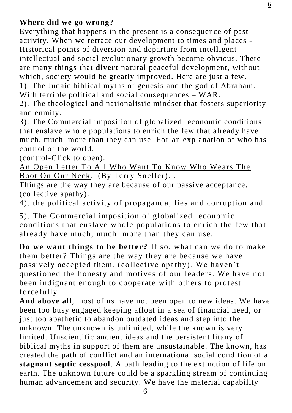#### **Where did we go wrong?**

Everything that happens in the present is a consequence of past activity. When we retrace our development to times and places - Historical points of diversion and departure from intelligent intellectual and social evolutionary growth become obvious. There are many things that **divert** natural peaceful development, without which, society would be greatly improved. Here are just a few. 1). The Judaic biblical myths of genesis and the god of Abraham. With terrible political and social consequences – WAR.

2). The theological and nationalistic mindset that fosters superiority and enmity.

3). The Commercial imposition of globalized economic conditions that enslave whole populations to enrich the few that already have much, much more than they can use. For an explanation of who has control of the world,

(control-Click to open).

[An Open Letter To All Who Want To Know Who Wears The](http://org2.salsalabs.com/dia/track.jsp?v=2&c=g1qo9HLVS14ylY%2BXkXcQjVFdldnwC9Uh)  [Boot On Our Neck.](http://org2.salsalabs.com/dia/track.jsp?v=2&c=g1qo9HLVS14ylY%2BXkXcQjVFdldnwC9Uh) (By Terry Sneller). .

Things are the way they are because of our passive acceptance. (collective apathy).

4). the political activity of propaganda, lies and corruption and

5). The Commercial imposition of globalized economic conditions that enslave whole populations to enrich the few that already have much, much more than they can use.

**Do we want things to be better?** If so, what can we do to make them better? Things are the way they are because we have passively accepted them. (collective apathy). We haven't questioned the honesty and motives of our leaders. We have not been indignant enough to cooperate with others to protest forcefully

**And above all**, most of us have not been open to new ideas. We have been too busy engaged keeping afloat in a sea of financial need, or just too apathetic to abandon outdated ideas and step into the unknown. The unknown is unlimited, while the known is very limited. Unscientific ancient ideas and the persistent litany of biblical myths in support of them are unsustainable. The known, has created the path of conflict and an international social condition of a **stagnant septic cesspool**. A path leading to the extinction of life on earth. The unknown future could be a sparkling stream of continuing human advancement and security. We have the material capability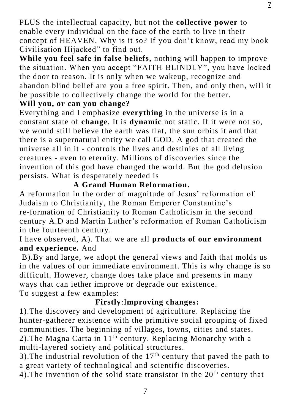PLUS the intellectual capacity, but not the **collective power** to enable every individual on the face of the earth to live in their concept of HEAVEN. Why is it so? If you don't know, read my book Civilisation Hijacked" to find out.

**While you feel safe in false beliefs,** nothing will happen to improve the situation. When you accept "FAITH BLINDLY", you have locked the door to reason. It is only when we wakeup, recognize and abandon blind belief are you a free spirit. Then, and only then, will it be possible to collectively change the world for the better.

#### **Will you, or can you change?**

Everything and I emphasize **everything** in the universe is in a constant state of **change**. It is **dynamic** not static. If it were not so, we would still believe the earth was flat, the sun orbits it and that there is a supernatural entity we call GOD. A god that created the universe all in it - controls the lives and destinies of all living creatures - even to eternity. Millions of discoveries since the invention of this god have changed the world. But the god delusion persists. What is desperately needed is

#### **A Grand Human Reformation.**

A reformation in the order of magnitude of Jesus' reformation of Judaism to Christianity, the Roman Emperor Constantine's re-formation of Christianity to Roman Catholicism in the second century A.D and Martin Luther's reformation of Roman Catholicism in the fourteenth century.

#### I have observed, A). That we are all **products of our environment and experience.** And

B).By and large, we adopt the general views and faith that molds us in the values of our immediate environment. This is why change is so difficult. However, change does take place and presents in many ways that can iether improve or degrade our existence. To suggest a few examples:

#### **Firstly**:I**mproving changes:**

1).The discovery and development of agriculture . Replacing the hunter-gatherer existence with the primitive social grouping of fixed communities. The beginning of villages, towns, cities and states. 2). The Magna Carta in  $11<sup>th</sup>$  century. Replacing Monarchy with a multi-layered society and political structures.

3). The industrial revolution of the  $17<sup>th</sup>$  century that paved the path to a great variety of technological and scientific discoveries.

4). The invention of the solid state transistor in the  $20<sup>th</sup>$  century that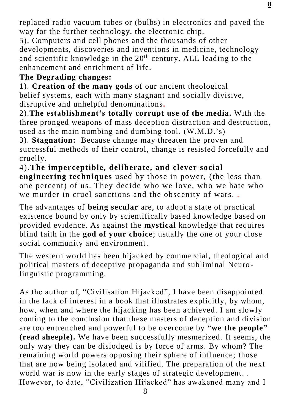replaced radio vacuum tubes or (bulbs) in electronics and paved the way for the further technology, the electronic chip.

5). Computers and cell phones and the thousands of other developments, discoveries and inventions in medicine, technology and scientific knowledge in the  $20<sup>th</sup>$  century. ALL leading to the enhancement and enrichment of life.

#### **The Degrading changes:**

1). **Creation of the many gods** of our ancient theological belief systems, each with many stagnant and socially divisive, disruptive and unhelpful denominations**.** 

2).**The establishment's totally corrupt use of the media.** With the three pronged weapons of mass deception distraction and destruction, used as the main numbing and dumbing tool. (W.M.D.'s)

3). **Stagnation:** Because change may threaten the proven and successful methods of their control, change is resisted forcefully and cruelly.

4).**The imperceptible, deliberate, and clever social engineering techniques** used by those in power, (the less than one percent) of us. They decide who we love, who we hate who we murder in cruel sanctions and the obscenity of wars. .

The advantages of **being secular** are, to adopt a state of practical existence bound by only by scientifically based knowledge based on provided evidence. As against the **mystical** knowledge that requires blind faith in the **god of your choice**; usually the one of your close social community and environment.

The western world has been hijacked by commercial, theological and political masters of deceptive propaganda and subliminal Neuro linguistic programming.

As the author of, "Civilisation Hijacked", I have been disappointed in the lack of interest in a book that illustrates explicitly, by whom, how, when and where the hijacking has been achieved. I am slowly coming to the conclusion that these masters of deception and division are too entrenched and powerful to be overcome by "**we the people" (read sheeple).** We have been successfully mesmerized. It seems, the only way they can be dislodged is by force of arms. By whom? The remaining world powers opposing their sphere of influence; those that are now being isolated and vilified. The preparation of the next world war is now in the early stages of strategic development. . However, to date, "Civilization Hijacked" has awakened many and I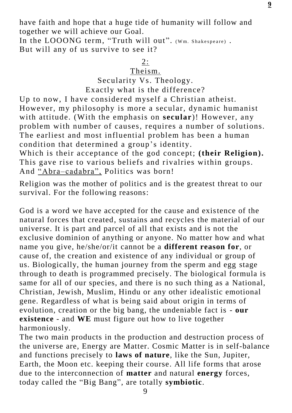have faith and hope that a huge tide of humanity will follow and together we will achieve our Goal.

In the LOOONG term, "Truth will out". (Wm. Shakespeare). But will any of us survive to see it?

2:

#### Theism.

Secularity Vs. Theology.

Exactly what is the difference?

Up to now, I have considered myself a Christian atheist. However, my philosophy is more a secular, dynamic humanist with attitude. (With the emphasis on **secular**)! However, any problem with number of causes, requires a number of solutions. The earliest and most influential problem has been a human condition that determined a group's identity.

Which is their acceptance of the god concept; (their Religion). This gave rise to various beliefs and rivalries within groups. And "Abra–cadabra", Politics was born!

Religion was the mother of politics and is the greatest threat to our survival. For the following reasons:

God is a word we have accepted for the cause and existence of the natural forces that created, sustains and recycles the material of our universe. It is part and parcel of all that exists and is not the exclusive dominion of anything or anyone. No matter how and what name you give, he/she/or/it cannot be a **different reason for**, or cause of, the creation and existence of any individual or group of us. Biologically, the human journey from the sperm and egg stage through to death is programmed precisely. The biological formula is same for all of our species, and there is no such thing as a National, Christian, Jewish, Muslim, Hindu or any other idealistic emotional gene. Regardless of what is being said about origin in terms of evolution, creation or the big bang, the undeniable fact is - **our existence** - and **WE** must figure out how to live together harmoniously.

The two main products in the production and destruction process of the universe are, Energy are Matter. Cosmic Matter is in self-balance and functions precisely to **laws of nature**, like the Sun, Jupiter, Earth, the Moon etc. keeping their course. All life forms that arose due to the interconnection of **matter** and natural **energy** forces, today called the "Big Bang", are totally **symbiotic**.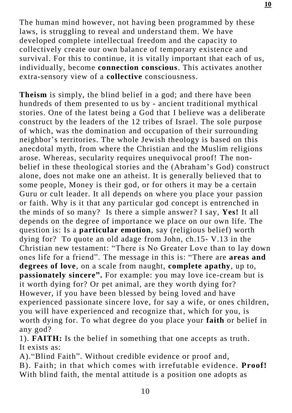The human mind however, not having been programmed by these laws, is struggling to reveal and understand them. We have developed complete intellectual freedom and the capacity to collectively create our own balance of temporary existence and survival. For this to continue, it is vitally important that each of us, individually, become **connection conscious**. This activates another extra-sensory view of a **collective** consciousness.

**Theism** is simply, the blind belief in a god; and there have been hundreds of them presented to us by - ancient traditional mythical stories. One of the latest being a God that I believe was a deliberate construct by the leaders of the 12 tribes of Israel. The sole purpose of which, was the domination and occupation of their surrounding neighbor's territories. The whole Jewish theology is based on this anecdotal myth, from where the Christian and the Muslim religions arose. Whereas, secularity requires unequivocal proof! The nonbelief in these theological stories and the (Abraham's God) construct alone, does not make one an atheist. It is generally believed that to some people, Money is their god, or for others it may be a certain Guru or cult leader. It all depends on where you place your passion or faith. Why is it that any particular god concept is entrenched in the minds of so many? Is there a simple answer? I say, **Yes!** It all depends on the degree of importance we place on our own life. The question is: Is a **particular emotion**, say (religious belief) worth dying for? To quote an old adage from John, ch.15- V.13 in the Christian new testament: "There is No Greater Love than to lay down ones life for a friend". The message in this is: "There are **areas and degrees of love**, on a scale from naught, **complete apathy**, up to, **passionately sincere".** For example: you may love ice-cream but is it worth dying for? Or pet animal, are they worth dying for? However, if you have been blessed by being loved and have experienced passionate sincere love, for say a wife, or ones children, you will have experienced and recognize that, which for you, is worth dying for. To what degree do you place your **faith** or belief in any god?

1). **FAITH:** Is the belief in something that one accepts as truth. It exists as:

A)."Blind Faith". Without credible evidence or proof and, B). Faith; in that which comes with irrefutable evidence. **Proof!** With blind faith, the mental attitude is a position one adopts as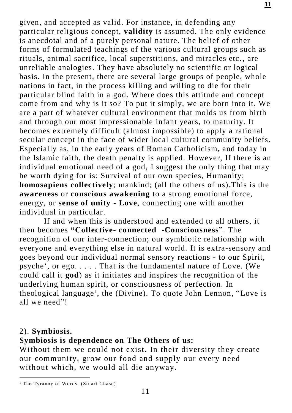given, and accepted as valid. For instance, in defending any particular religious concept, **validity** is assumed. The only evidence is anecdotal and of a purely personal nature. The belief of other forms of formulated teachings of the various cultural groups such as rituals, animal sacrifice, local superstitions, and miracles etc. , are unreliable analogies. They have absolutely no scientific or logical basis. In the present, there are several large groups of people, whole nations in fact, in the process killing and willing to die for their particular blind faith in a god. Where does this attitude and concept come from and why is it so? To put it simply, we are born into it. We are a part of whatever cultural environment that molds us from birth and through our most impressionable infant years, to maturity. It becomes extremely difficult (almost impossible) to apply a rational secular concept in the face of wider local cultural community beliefs. Especially as, in the early years of Roman Catholicism, and today in the Islamic faith, the death penalty is applied. However, If there is an individual emotional need of a god, I suggest the only thing that may be worth dying for is: Survival of our own species, Humanity; **homosapiens collectively**; mankind; (all the others of us).This is the **awareness** or **conscious awakening** to a strong emotional force, energy, or **sense of unity - Love**, connecting one with another individual in particular.

 If and when this is understood and extended to all others, it then becomes **"Collective- connected -Consciousness**". The recognition of our inter-connection; our symbiotic relationship with everyone and everything else in natural world. It is extra-sensory and goes beyond our individual normal sensory reactions - to our Spirit, psyche', or ego. . . . . That is the fundamental nature of Love. (We could call it **god**) as it initiates and inspires the recognition of the underlying human spirit, or consciousness of perfection. In theological language<sup>1</sup>, the (Divine). To quote John Lennon, "Love is all we need"!

#### 2). **Symbiosis.**

#### **Symbiosis is dependence on The Others of us:**

Without them we could not exist. In their diversity they create our community, grow our food and supply our every need without which, we would all die anyway.

l <sup>1</sup> The Tyranny of Words. (Stuart Chase)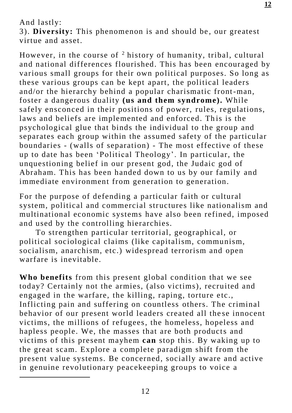And lastly:

l

3). **Diversity:** This phenomenon is and should be , our greatest virtue and asset.

However, in the course of <sup>2</sup> history of humanity, tribal, cultural and national differences flourished. This has been encouraged by various small groups for their own political purposes. So long as these various groups can be kept apart, the political leaders and/or the hierarchy behind a popular charismatic front-man, foster a dangerous duality **(us and them syndrome).** While safely ensconced in their positions of power, rules, regulations, laws and beliefs are implemented and enforced. This is the psychological glue that binds the individual to the group and separates each group within the assumed safety of the particular boundaries - (walls of separation) - The most effective of these up to date has been 'Political Theology'. In particular, the unquestioning belief in our present god, the Judaic god of Abraham. This has been handed down to us by our family and immediate environment from generation to generation.

For the purpose of defending a particular faith or cultural system, political and commercial structures like nationalism and multinational economic systems have also been refined, imposed and used by the controlling hierarchies.

 To strengthen particular territorial, geographical, or political sociological claims (like capitalism, communism, socialism, anarchism, etc.) widespread terrorism and open warfare is inevitable.

**Who benefits** from this present global condition that we see today? Certainly not the armies, (also victims), recruited and engaged in the warfare, the killing, raping, torture etc., Inflicting pain and suffering on countless others. The criminal behavior of our present world leaders created all the se innocent victims, the millions of refugees, the homeless, hopeless and hapless people. We, the masses that are both products and victims of this present mayhem **can** stop this. By waking up to the great scam. Explore a complete paradigm shift from the present value systems. Be concerned, socially aware and active in genuine revolutionary peacekeeping groups to voice a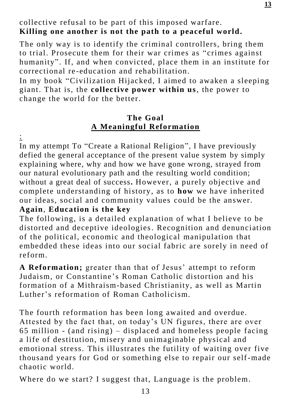The only way is to identify the criminal controllers, bring them to trial. Prosecute them for their war crimes as "crimes against humanity". If, and when convicted, place them in an institute for correctional re -education and rehabilitation.

In my book "Civilization Hijacked, I aimed to awaken a sleeping giant. That is, the **collective power within us**, the power to change the world for the better.

#### **The Goal A Meaningful Reformation**

 $\cdot$ 

In my attempt To "Create a Rational Religion", I have previously defied the general acceptance of the present value system by simply explaining where, why and how we have gone wrong, strayed from our natural evolutionary path and the resulting world condition; without a great deal of success**.** However, a purely objective and complete understanding of history, as to **how** we have inherited our ideas, social and community values could be the answer. **Again**, **Education is the key**

The following, is a detailed explanation of what I believe to be distorted and deceptive ideologies. Recognition and denunciation of the political, economic and theological manipulation that embedded these ideas into our social fabric are sorely in need of reform.

**A Reformation;** greater than that of Jesus' attempt to reform Judaism, or Constantine's Roman Catholic distortion and his formation of a Mithraism-based Christianity, as well as Martin Luther's reformation of Roman Catholicism.

The fourth reformation has been long awaited and overdue. Attested by the fact that, on today's UN figures, there are over 65 million - (and rising) – displaced and homeless people facing a life of destitution, misery and unimaginable physical and emotional stress. This illustrates the futility of waiting over five thousand years for God or something else to repair our self-made chaotic world.

Where do we start? I suggest that, Language is the problem.

**13**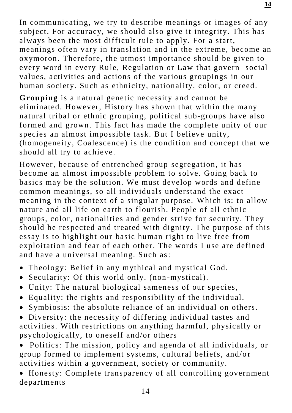In communicating, we try to describe meanings or images of any subject. For accuracy, we should also give it integrity. This has always been the most difficult rule to apply. For a start, meanings often vary in translation and in the extreme, become an oxymoron. Therefore, the utmost importance should be given to every word in every Rule, Regulation or Law that govern social values, activities and actions of the various groupings in our human society. Such as ethnicity, nationality, color, or creed.

**Grouping** is a natural genetic necessity and cannot be eliminated. However, History has shown that within the many natural tribal or ethnic grouping, political sub-groups have also formed and grown. This fact has made the complete unity of our species an almost impossible task. But I believe unity, (homogeneity, Coalescence) is the condition and concept that we should all try to achieve.

However, because of entrenched group segregation, it has become an almost impossible problem to solve. Going back to basics may be the solution. We must develop words and define common meanings, so all individuals understand the exact meaning in the context of a singular purpose. Which is: to allow nature and all life on earth to flourish. People of all ethnic groups, color, nationalities and gender strive for security. They should be respected and treated with dignity. The purpose of this essay is to highlight our basic human right to live free from exploitation and fear of each other. The words I use are defined and have a universal meaning. Such as:

- Theology: Belief in any mythical and mystical God.
- Secularity: Of this world only. (non -mystical).
- Unity: The natural biological sameness of our species,
- Equality: the rights and responsibility of the individual.
- Symbiosis: the absolute reliance of an individual on others.
- Diversity: the necessity of differing individual tastes and activities. With restrictions on anything harmful, physically or psychologically, to oneself and/or others
- Politics: The mission, policy and agenda of all individuals, or group formed to implement systems, cultural beliefs, and/or activities within a government, society or community.
- Honesty: Complete transparency of all controlling government departments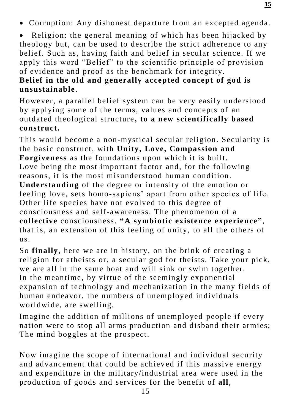• Corruption: Any dishonest departure from an excepted agenda.

Religion: the general meaning of which has been hijacked by theology but, can be used to describe the strict adherence to any belief. Such as, having faith and belief in secular science. If we apply this word "Belief" to the scientific principle of provision of evidence and proof as the benchmark for integrity.

#### **Belief in the old and generally accepted concept of god is unsustainable**.

However, a parallel belief system can be very easily understood by applying some of the terms, values and concepts of an outdated theological structure **, to a new scientifically based construct.**

This would become a non-mystical secular religion. Secularity is the basic construct, with **Unity, Love, Compassion and Forgiveness** as the foundations upon which it is built. Love being the most important factor and, for the following reasons, it is the most misunderstood human condition. **Understanding** of the degree or intensity of the emotion or feeling love, sets homo-sapiens' apart from other species of life . Other life species have not evolved to this degree of consciousness and self-awareness. The phenomenon of a **collective** consciousness. **"A symbiotic existence experience"**, that is, an extension of this feeling of unity, to all the others of us.

So **finally**, here we are in history, on the brink of creating a religion for atheists or, a secular god for theists. Take your pick, we are all in the same boat and will sink or swim together. In the meantime, by virtue of the seemingly exponential expansion of technology and mechanization in the many fields of human endeavor, the numbers of unemployed individuals worldwide, are swelling,

Imagine the addition of millions of unemployed people if every nation were to stop all arms production and disband their armies; The mind boggles at the prospect.

Now imagine the scope of international and individual security and advancement that could be achieved if this massive energy and expenditure in the military/industrial area were used in the production of goods and services for the benefit of **all**,

**15**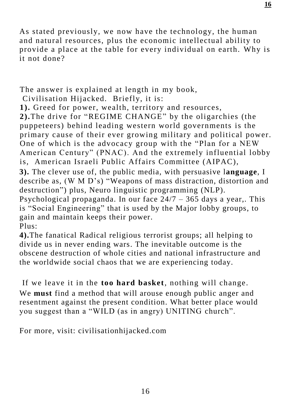As stated previously, we now have the technology, the human and natural resources, plus the economic intellectual ability to provide a place at the table for every individual on earth. Why is it not done?

The answer is explained at length in my book,

Civilisation Hijacked. Briefly, it is:

**1).** Greed for power, wealth, territory and resources,

**2).**The drive for "REGIME CHANGE" by the oligarchies (the puppeteers) behind leading western world governments is the primary cause of their ever growing military and political power. One of which is the advocacy group with the "Plan for a NEW American Century" (PNAC). And the extremely influential lobby is, American Israeli Public Affairs Committee (AIPAC),

**3).** The clever use of, the public media, with persuasive l**anguage**, I describe as, (W M D's) "Weapons of mass distraction, distortion and destruction") plus, Neuro linguistic programming (NLP).

Psychological propaganda. In our face  $24/7 - 365$  days a year,. This is "Social Engineering" that is used by the Major lobby groups, to gain and maintain keeps their power.

Plus:

**4).**The fanatical Radical religious terrorist groups; all helping to divide us in never ending wars. The inevitable outcome is the obscene destruction of whole cities and national infrastructure and the worldwide social chaos that we are experiencing today.

If we leave it in the **too hard basket**, nothing will change. We **must** find a method that will arouse enough public anger and resentment against the present condition. What better place would you suggest than a "WILD (as in angry) UNITING church".

For more, visit: civilisationhijacked.com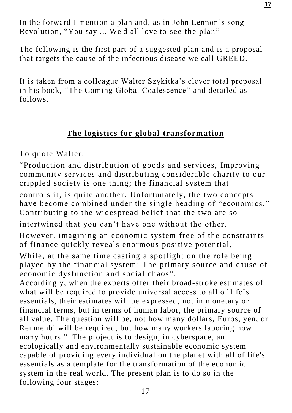In the forward I mention a plan and, as in John Lennon's song Revolution, "You say ... We'd all love to see the plan"

The following is the first part of a suggested plan and is a proposal that targets the cause of the infectious disease we call GREED.

It is taken from a colleague Walter Szykitka's clever total proposal in his book, "The Coming Global Coalescence" and detailed as follows.

#### **The logistics for global transformation**

To quote Walter:

"Production and distribution of goods and services, Improving community services and distributing considerable charity to our crippled society is one thing; the financial system that

controls it, is quite another. Unfortunately, the two concepts have become combined under the single heading of "economics." Contributing to the widespread belief that the two are so

intertwined that you can't have one without the other.

However, imagining an economic system free of the constraints of finance quickly reveals enormous positive potential,

While, at the same time casting a spotlight on the role being played by the financial system: The primary source and cause of economic dysfunction and social chaos ".

Accordingly, when the experts offer their broad-stroke estimates of what will be required to provide universal access to all of life's essentials, their estimates will be expressed, not in monetary or financial terms, but in terms of human labor, the primary source of all value. The question will be, not how many dollars, Euros, yen, or Renmenbi will be required, but how many workers laboring how many hours." The project is to design, in cyberspace, an ecologically and environmentally sustainable economic system capable of providing every individual on the planet with all of life's essentials as a template for the transformation of the economic system in the real world. The present plan is to do so in the following four stages: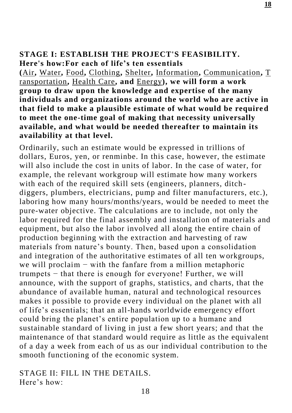#### **STAGE I: ESTABLISH THE PROJECT'S FEASIBILITY. Here's how:For each of life's ten essentials**

**(**[Air](http://www.design.thecoalescence.net/index.php?title=Air)**,** [Water](http://www.design.thecoalescence.net/index.php?title=Water)**,** [Food](http://www.design.thecoalescence.net/index.php?title=Food)**,** [Clothing](http://www.design.thecoalescence.net/index.php?title=Clothing)**,** [Shelter](http://www.design.thecoalescence.net/index.php?title=Shelter)**,** [Information](http://www.design.thecoalescence.net/index.php?title=Information)**,** [Communication](http://www.design.thecoalescence.net/index.php?title=Communication)**,** [T](http://www.design.thecoalescence.net/index.php?title=Transportation) [ransportation](http://www.design.thecoalescence.net/index.php?title=Transportation)**,** [Health Care](http://www.design.thecoalescence.net/index.php?title=Health_Care)**, and** [Energy](http://www.design.thecoalescence.net/index.php?title=Energy)**), we will form a work group to draw upon the knowledge and expertise of the many individuals and organizations around the world who are active in that field to make a plausible estimate of what would be required to meet the one-time goal of making that necessity universally available, and what would be needed thereafter to maintain its availability at that level.** 

Ordinarily, such an estimate would be expressed in trillions of dollars, Euros, yen, or renminbe. In this case, however, the estimate will also include the cost in units of labor. In the case of water, for example, the relevant workgroup will estimate how many workers with each of the required skill sets (engineers, planners, ditchdiggers, plumbers, electricians, pump and filter manufacturers, etc.), laboring how many hours/months/years, would be needed to meet the pure-water objective. The calculations are to include, not only the labor required for the final assembly and installation of materials and equipment, but also the labor involved all along the entire chain of production beginning with the extraction and harvesting of raw materials from nature's bounty. Then, based upon a consolidation and integration of the authoritative estimates of all ten workgroups, we will proclaim − with the fanfare from a million metaphoric trumpets − that there is enough for everyone! Further, we will announce, with the support of graphs, statistics, and charts, that the abundance of available human, natural and technological resources makes it possible to provide every individual on the planet with all of life's essentials; that an all-hands worldwide emergency effort could bring the planet's entire population up to a humane and sustainable standard of living in just a few short years; and that the maintenance of that standard would require as little as the equivalent of a day a week from each of us as our individual contribution to the smooth functioning of the economic system.

#### STAGE II: FILL IN THE DETAILS. Here's how: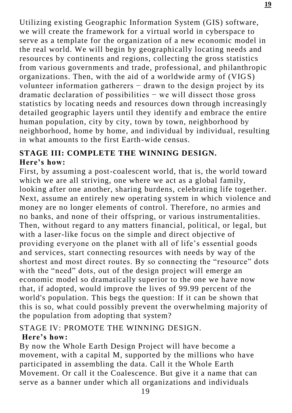Utilizing existing Geographic Information System (GIS) software, we will create the framework for a virtual world in cyberspace to serve as a template for the organization of a new economic model in the real world. We will begin by geographically locating needs and resources by continents and regions, collecting the gross statistics from various governments and trade, professional, and philanthropic organizations. Then, with the aid of a worldwide army of (VIGS) volunteer information gatherers − drawn to the design project by its dramatic declaration of possibilities  $-$  we will dissect those gross statistics by locating needs and resources down through increasingly detailed geographic layers until they identify and embrace the entire human population, city by city, town by town, neighborhood by neighborhood, home by home, and individual by individual, resulting in what amounts to the first Earth-wide census.

#### **STAGE III: COMPLETE THE WINNING DESIGN. Here's how:**

First, by assuming a post-coalescent world, that is, the world toward which we are all striving, one where we act as a global family, looking after one another, sharing burdens, celebrating life together. Next, assume an entirely new operating system in which violence and money are no longer elements of control. Therefore, no armies and no banks, and none of their offspring, or various instrumentalities. Then, without regard to any matters financial, political, or legal, but with a laser-like focus on the simple and direct objective of providing everyone on the planet with all of life's essential goods and services, start connecting resources with needs by way of the shortest and most direct routes. By so connecting the "resource" dots with the "need" dots, out of the design project will emerge an economic model so dramatically superior to the one we have now that, if adopted, would improve the lives of 99.99 percent of the world's population. This begs the question: If it can be shown that this is so, what could possibly prevent the overwhelming majority of the population from adopting that system?

#### STAGE IV: PROMOTE THE WINNING DESIGN. **Here's how:**

By now the Whole Earth Design Project will have become a movement, with a capital M, supported by the millions who have participated in assembling the data. Call it the Whole Earth Movement. Or call it the Coalescence. But give it a name that can serve as a banner under which all organizations and individuals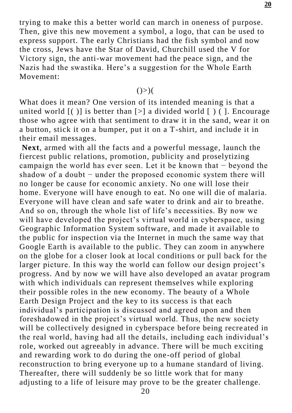trying to make this a better world can march in oneness of purpose. Then, give this new movement a symbol, a logo, that can be used to express support. The early Christians had the fish symbol and now the cross, Jews have the Star of David, Churchill used the V for Victory sign, the anti-war movement had the peace sign, and the Nazis had the swastika. Here's a suggestion for the Whole Earth Movement:

#### $()>)$

What does it mean? One version of its intended meaning is that a united world  $\lceil$  ( ) is better than  $\lceil$  > a divided world  $\lceil$  ) (  $\lceil$  ). Encourage those who agree with that sentiment to draw it in the sand, wear it on a button, stick it on a bumper, put it on a T-shirt, and include it in their email messages.

**Next**, armed with all the facts and a powerful message, launch the fiercest public relations, promotion, publicity a nd proselytizing campaign the world has ever seen. Let it be known that − beyond the shadow of a doubt – under the proposed economic system there will no longer be cause for economic anxiety. No one will lose their home. Everyone will have enough to eat. No one will die of malaria. Everyone will have clean and safe water to drink and air to breathe. And so on, through the whole list of life's necessities. By now we will have developed the project's virtual world in cyberspace, using Geographic Information System software, and made it available to the public for inspection via the Internet in much the same way that Google Earth is available to the public. They can zoom in anywhere on the globe for a closer look at local conditions or pull back for the larger picture. In this way the world can follow our design project's progress. And by now we will have also developed an avatar program with which individuals can represent themselves while exploring their possible roles in the new economy. The beauty of a Whole Earth Design Project and the key to its success is that each individual's participation is discussed and agreed upon and then foreshadowed in the project's virtual world. Thus, the new society will be collectively designed in cyberspace before being recre ated in the real world, having had all the details, including each individual's role, worked out agreeably in advance. There will be much exciting and rewarding work to do during the one-off period of global reconstruction to bring everyone up to a humane standard of living. Thereafter, there will suddenly be so little work that for many adjusting to a life of leisure may prove to be the greater challenge.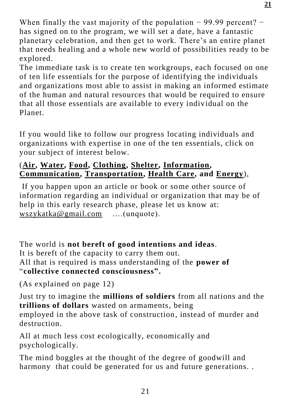When finally the vast majority of the population  $-99.99$  percent?  $$ has signed on to the program, we will set a date, have a fantastic planetary celebration, and then get to work. There's an entire planet that needs healing and a whole new world of possibilities ready to be explored.

The immediate task is to create ten workgroups, each focused on one of ten life essentials for the purpose of identifying the individuals and organizations most able to assist in making an informed estimate of the human and natural resources that would be required to ensure that all those essentials are available to every individual on the Planet.

If you would like to follow our progress locating individuals and organizations with expertise in one of the ten essentials, click on your subject of interest below.

#### (**[Air,](http://www.design.thecoalescence.net/index.php?title=Air) [Water,](http://www.design.thecoalescence.net/index.php?title=Water) [Food,](http://www.design.thecoalescence.net/index.php?title=Food) [Clothing,](http://www.design.thecoalescence.net/index.php?title=Clothing) [Shelter,](http://www.design.thecoalescence.net/index.php?title=Shelter) [Information,](http://www.design.thecoalescence.net/index.php?title=Information) [Communication,](http://www.design.thecoalescence.net/index.php?title=Communication) [Transportation,](http://www.design.thecoalescence.net/index.php?title=Transportation) [Health Care,](http://www.design.thecoalescence.net/index.php?title=Health_Care) and [Energy](http://www.design.thecoalescence.net/index.php?title=Energy)**),

If you happen upon an article or book or some other source of information regarding an individual or organization that may be of help in this early research phase, please let us know at: [wszykatka@gmail.com](mailto:wszykatka@gmail.com) ….(unquote).

The world is **not bereft of good intentions and ideas**. It is bereft of the capacity to carry them out. All that is required is mass understanding of the **power of** "**collective connected consciousness".**

(As explained on page 12)

Just try to imagine the **millions of soldiers** from all nations and the **trillions of dollars** wasted on armaments, being employed in the above task of construction, instead of murder and destruction.

All at much less cost ecologically, economically and psychologically.

The mind boggles at the thought of the degree of goodwill and harmony that could be generated for us and future generations..